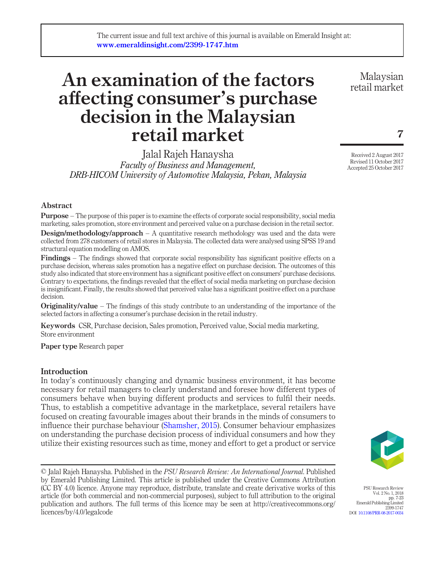# An examination of the factors affecting consumer's purchase decision in the Malaysian retail market

Jalal Rajeh Hanaysha Faculty of Business and Management, DRB-HICOM University of Automotive Malaysia, Pekan, Malaysia

Malaysian retail market

7

Received 2 August 2017 Revised 11 October 2017 Accepted 25 October 2017

# Abstract

Purpose – The purpose of this paper is to examine the effects of corporate social responsibility, social media marketing, sales promotion, store environment and perceived value on a purchase decision in the retail sector.

Design/methodology/approach – A quantitative research methodology was used and the data were collected from 278 customers of retail stores in Malaysia. The collected data were analysed using SPSS 19 and structural equation modelling on AMOS.

Findings – The findings showed that corporate social responsibility has significant positive effects on a purchase decision, whereas sales promotion has a negative effect on purchase decision. The outcomes of this study also indicated that store environment has a significant positive effect on consumers' purchase decisions. Contrary to expectations, the findings revealed that the effect of social media marketing on purchase decision is insignificant. Finally, the results showed that perceived value has a significant positive effect on a purchase decision.

**Originality/value** – The findings of this study contribute to an understanding of the importance of the selected factors in affecting a consumer's purchase decision in the retail industry.

Keywords CSR, Purchase decision, Sales promotion, Perceived value, Social media marketing, Store environment

Paper type Research paper

## **Introduction**

In today's continuously changing and dynamic business environment, it has become necessary for retail managers to clearly understand and foresee how different types of consumers behave when buying different products and services to fulfil their needs. Thus, to establish a competitive advantage in the marketplace, several retailers have focused on creating favourable images about their brands in the minds of consumers to influence their purchase behaviour ([Shamsher, 2015\)](#page-14-0). Consumer behaviour emphasizes on understanding the purchase decision process of individual consumers and how they utilize their existing resources such as time, money and effort to get a product or service

<sup>©</sup> Jalal Rajeh Hanaysha. Published in the PSU Research Review: An International Journal. Published by Emerald Publishing Limited. This article is published under the Creative Commons Attribution (CC BY 4.0) licence. Anyone may reproduce, distribute, translate and create derivative works of this article (for both commercial and non-commercial purposes), subject to full attribution to the original publication and authors. The full terms of this licence may be seen at http://creativecommons.org/ licences/by/4.0/legalcode



PSU Research Review Vol. 2 No. 1, 2018 pp. 7-23 Emerald Publishing Limited 2399-1747 DOI [10.1108/PRR-08-2017-0034](http://dx.doi.org/10.1108/PRR-08-2017-0034)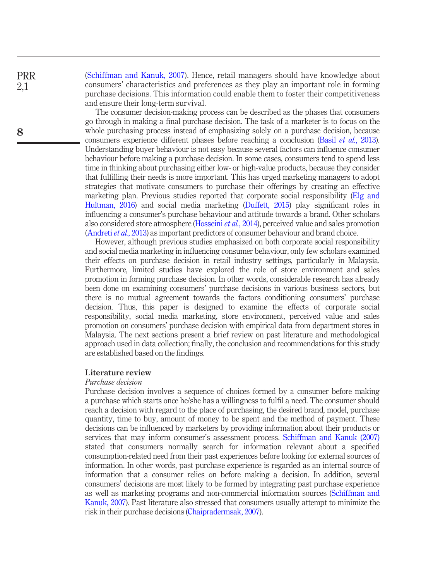[\(Schiffman and Kanuk, 2007\)](#page-14-1). Hence, retail managers should have knowledge about consumers' characteristics and preferences as they play an important role in forming purchase decisions. This information could enable them to foster their competitiveness and ensure their long-term survival.

The consumer decision-making process can be described as the phases that consumers go through in making a final purchase decision. The task of a marketer is to focus on the whole purchasing process instead of emphasizing solely on a purchase decision, because consumers experience different phases before reaching a conclusion (Basil et al.[, 2013\)](#page-11-0). Understanding buyer behaviour is not easy because several factors can influence consumer behaviour before making a purchase decision. In some cases, consumers tend to spend less time in thinking about purchasing either low- or high-value products, because they consider that fulfilling their needs is more important. This has urged marketing managers to adopt strategies that motivate consumers to purchase their offerings by creating an effective marketing plan. Previous studies reported that corporate social responsibility [\(Elg and](#page-12-0) [Hultman, 2016\)](#page-12-0) and social media marketing [\(Duffett, 2015](#page-12-1)) play significant roles in influencing a consumer's purchase behaviour and attitude towards a brand. Other scholars also considered store atmosphere ([Hosseini](#page-13-0) et al., 2014), perceived value and sales promotion [\(Andreti](#page-11-1) et al., 2013) as important predictors of consumer behaviour and brand choice.

However, although previous studies emphasized on both corporate social responsibility and social media marketing in influencing consumer behaviour, only few scholars examined their effects on purchase decision in retail industry settings, particularly in Malaysia. Furthermore, limited studies have explored the role of store environment and sales promotion in forming purchase decision. In other words, considerable research has already been done on examining consumers' purchase decisions in various business sectors, but there is no mutual agreement towards the factors conditioning consumers' purchase decision. Thus, this paper is designed to examine the effects of corporate social responsibility, social media marketing, store environment, perceived value and sales promotion on consumers' purchase decision with empirical data from department stores in Malaysia. The next sections present a brief review on past literature and methodological approach used in data collection; finally, the conclusion and recommendations for this study are established based on the findings.

## Literature review

## Purchase decision

Purchase decision involves a sequence of choices formed by a consumer before making a purchase which starts once he/she has a willingness to fulfil a need. The consumer should reach a decision with regard to the place of purchasing, the desired brand, model, purchase quantity, time to buy, amount of money to be spent and the method of payment. These decisions can be influenced by marketers by providing information about their products or services that may inform consumer's assessment process. [Schiffman and Kanuk \(2007\)](#page-14-1) stated that consumers normally search for information relevant about a specified consumption-related need from their past experiences before looking for external sources of information. In other words, past purchase experience is regarded as an internal source of information that a consumer relies on before making a decision. In addition, several consumers' decisions are most likely to be formed by integrating past purchase experience as well as marketing programs and non-commercial information sources ([Schiffman and](#page-14-1) [Kanuk, 2007](#page-14-1)). Past literature also stressed that consumers usually attempt to minimize the risk in their purchase decisions [\(Chaipradermsak, 2007](#page-11-2)).

PRR 2,1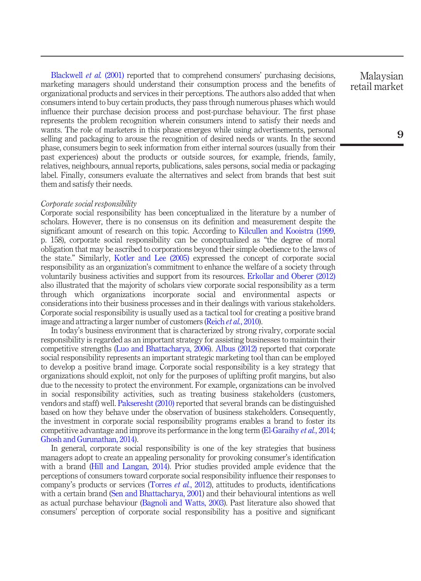[Blackwell](#page-11-3) *et al.* (2001) reported that to comprehend consumers' purchasing decisions, marketing managers should understand their consumption process and the benefits of organizational products and services in their perceptions. The authors also added that when consumers intend to buy certain products, they pass through numerous phases which would influence their purchase decision process and post-purchase behaviour. The first phase represents the problem recognition wherein consumers intend to satisfy their needs and wants. The role of marketers in this phase emerges while using advertisements, personal selling and packaging to arouse the recognition of desired needs or wants. In the second phase, consumers begin to seek information from either internal sources (usually from their past experiences) about the products or outside sources, for example, friends, family, relatives, neighbours, annual reports, publications, sales persons, social media or packaging label. Finally, consumers evaluate the alternatives and select from brands that best suit them and satisfy their needs.

#### Corporate social responsibility

Corporate social responsibility has been conceptualized in the literature by a number of scholars. However, there is no consensus on its definition and measurement despite the significant amount of research on this topic. According to [Kilcullen and Kooistra \(1999](#page-13-1), p. 158), corporate social responsibility can be conceptualized as "the degree of moral obligation that may be ascribed to corporations beyond their simple obedience to the laws of the state." Similarly, [Kotler and Lee \(2005\)](#page-13-2) expressed the concept of corporate social responsibility as an organization's commitment to enhance the welfare of a society through voluntarily business activities and support from its resources. [Erkollar and Oberer \(2012\)](#page-12-2) also illustrated that the majority of scholars view corporate social responsibility as a term through which organizations incorporate social and environmental aspects or considerations into their business processes and in their dealings with various stakeholders. Corporate social responsibility is usually used as a tactical tool for creating a positive brand image and attracting a larger number of customers [\(Reich](#page-14-2) et al., 2010).

In today's business environment that is characterized by strong rivalry, corporate social responsibility is regarded as an important strategy for assisting businesses to maintain their competitive strengths [\(Luo and Bhattacharya, 2006](#page-13-3)). [Albus \(2012\)](#page-10-0) reported that corporate social responsibility represents an important strategic marketing tool than can be employed to develop a positive brand image. Corporate social responsibility is a key strategy that organizations should exploit, not only for the purposes of uplifting profit margins, but also due to the necessity to protect the environment. For example, organizations can be involved in social responsibility activities, such as treating business stakeholders (customers, vendors and staff) well. [Pakseresht \(2010\)](#page-14-3) reported that several brands can be distinguished based on how they behave under the observation of business stakeholders. Consequently, the investment in corporate social responsibility programs enables a brand to foster its competitive advantage and improve its performance in the long term [\(El-Garaihy](#page-12-3) *et al.*, 2014; [Ghosh and Gurunathan, 2014\)](#page-12-4).

In general, corporate social responsibility is one of the key strategies that business managers adopt to create an appealing personality for provoking consumer's identification with a brand [\(Hill and Langan, 2014](#page-13-4)). Prior studies provided ample evidence that the perceptions of consumers toward corporate social responsibility influence their responses to company's products or services ([Torres](#page-15-0) *et al.*, 2012), attitudes to products, identifications with a certain brand ([Sen and Bhattacharya, 2001\)](#page-14-4) and their behavioural intentions as well as actual purchase behaviour ([Bagnoli and Watts, 2003](#page-11-4)). Past literature also showed that consumers' perception of corporate social responsibility has a positive and significant

Malaysian retail market

9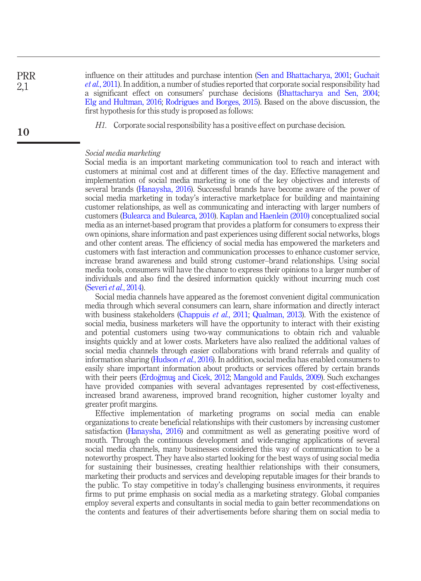PRR 2,1

influence on their attitudes and purchase intention [\(Sen and Bhattacharya, 2001;](#page-14-4) [Guchait](#page-12-5) et al.[, 2011](#page-12-5)). In addition, a number of studies reported that corporate social responsibility had a significant effect on consumers' purchase decisions [\(Bhattacharya and Sen, 2004](#page-11-5); [Elg and Hultman, 2016](#page-12-0); [Rodrigues and Borges, 2015](#page-14-5)). Based on the above discussion, the first hypothesis for this study is proposed as follows:

10

H1. Corporate social responsibility has a positive effect on purchase decision.

#### Social media marketing

Social media is an important marketing communication tool to reach and interact with customers at minimal cost and at different times of the day. Effective management and implementation of social media marketing is one of the key objectives and interests of several brands [\(Hanaysha, 2016\)](#page-13-5). Successful brands have become aware of the power of social media marketing in today's interactive marketplace for building and maintaining customer relationships, as well as communicating and interacting with larger numbers of customers [\(Bulearca and Bulearca, 2010](#page-11-6)). [Kaplan and Haenlein \(2010\)](#page-13-6) conceptualized social media as an internet-based program that provides a platform for consumers to express their own opinions, share information and past experiences using different social networks, blogs and other content areas. The efficiency of social media has empowered the marketers and customers with fast interaction and communication processes to enhance customer service, increase brand awareness and build strong customer–brand relationships. Using social media tools, consumers will have the chance to express their opinions to a larger number of individuals and also find the desired information quickly without incurring much cost [\(Severi](#page-14-6) et al., 2014).

Social media channels have appeared as the foremost convenient digital communication media through which several consumers can learn, share information and directly interact with business stakeholders [\(Chappuis](#page-12-6)  $et \ al., 2011$ ; [Qualman, 2013](#page-14-7)). With the existence of social media, business marketers will have the opportunity to interact with their existing and potential customers using two-way communications to obtain rich and valuable insights quickly and at lower costs. Marketers have also realized the additional values of social media channels through easier collaborations with brand referrals and quality of information sharing [\(Hudson](#page-13-7) et al., 2016). In addition, social media has enabled consumers to easily share important information about products or services offered by certain brands with their peers (Erdogmus [and Cicek, 2012](#page-12-7); [Mangold and Faulds, 2009](#page-14-8)). Such exchanges have provided companies with several advantages represented by cost-effectiveness, increased brand awareness, improved brand recognition, higher customer loyalty and greater profit margins.

Effective implementation of marketing programs on social media can enable organizations to create beneficial relationships with their customers by increasing customer satisfaction [\(Hanaysha, 2016](#page-13-5)) and commitment as well as generating positive word of mouth. Through the continuous development and wide-ranging applications of several social media channels, many businesses considered this way of communication to be a noteworthy prospect. They have also started looking for the best ways of using social media for sustaining their businesses, creating healthier relationships with their consumers, marketing their products and services and developing reputable images for their brands to the public. To stay competitive in today's challenging business environments, it requires firms to put prime emphasis on social media as a marketing strategy. Global companies employ several experts and consultants in social media to gain better recommendations on the contents and features of their advertisements before sharing them on social media to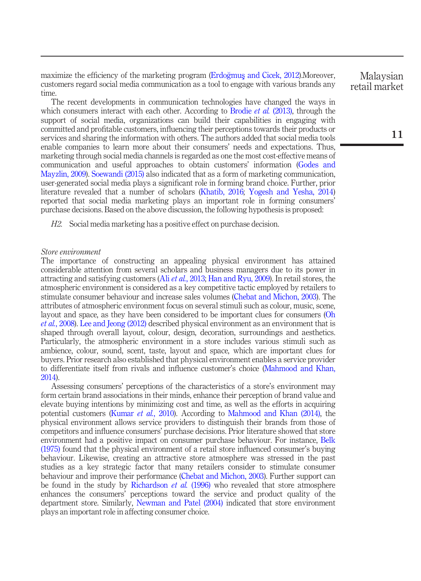maximize the efficiency of the marketing program (Erdogmus [and Cicek, 2012\)](#page-12-7).Moreover, customers regard social media communication as a tool to engage with various brands any time.

The recent developments in communication technologies have changed the ways in which consumers interact with each other. According to [Brodie](#page-11-7) *et al.* (2013), through the support of social media, organizations can build their capabilities in engaging with committed and profitable customers, influencing their perceptions towards their products or services and sharing the information with others. The authors added that social media tools enable companies to learn more about their consumers' needs and expectations. Thus, marketing through social media channels is regarded as one the most cost-effective means of communication and useful approaches to obtain customers' information ([Godes and](#page-12-8) [Mayzlin, 2009\)](#page-12-8). [Soewandi \(2015\)](#page-15-1) also indicated that as a form of marketing communication, user-generated social media plays a significant role in forming brand choice. Further, prior literature revealed that a number of scholars [\(Khatib, 2016](#page-13-8); [Yogesh and Yesha, 2014\)](#page-15-2) reported that social media marketing plays an important role in forming consumers' purchase decisions. Based on the above discussion, the following hypothesis is proposed:

H2. Social media marketing has a positive effect on purchase decision.

## Store environment

The importance of constructing an appealing physical environment has attained considerable attention from several scholars and business managers due to its power in attracting and satisfying customers (Ali *et al.*[, 2013](#page-11-8); [Han and Ryu, 2009](#page-13-9)). In retail stores, the atmospheric environment is considered as a key competitive tactic employed by retailers to stimulate consumer behaviour and increase sales volumes [\(Chebat and Michon, 2003\)](#page-12-9). The attributes of atmospheric environment focus on several stimuli such as colour, music, scene, layout and space, as they have been considered to be important clues for consumers ([Oh](#page-14-9) et al.[, 2008](#page-14-9)). [Lee and Jeong \(2012\)](#page-13-10) described physical environment as an environment that is shaped through overall layout, colour, design, decoration, surroundings and aesthetics. Particularly, the atmospheric environment in a store includes various stimuli such as ambience, colour, sound, scent, taste, layout and space, which are important clues for buyers. Prior research also established that physical environment enables a service provider to differentiate itself from rivals and influence customer's choice [\(Mahmood and Khan,](#page-14-10) [2014\)](#page-14-10).

Assessing consumers' perceptions of the characteristics of a store's environment may form certain brand associations in their minds, enhance their perception of brand value and elevate buying intentions by minimizing cost and time, as well as the efforts in acquiring potential customers [\(Kumar](#page-13-11) et al., 2010). According to [Mahmood and Khan \(2014\)](#page-14-10), the physical environment allows service providers to distinguish their brands from those of competitors and influence consumers' purchase decisions. Prior literature showed that store environment had a positive impact on consumer purchase behaviour. For instance, [Belk](#page-11-9) [\(1975\)](#page-11-9) found that the physical environment of a retail store influenced consumer's buying behaviour. Likewise, creating an attractive store atmosphere was stressed in the past studies as a key strategic factor that many retailers consider to stimulate consumer behaviour and improve their performance ([Chebat and Michon, 2003](#page-12-9)). Further support can be found in the study by [Richardson](#page-14-11) et al. (1996) who revealed that store atmosphere enhances the consumers' perceptions toward the service and product quality of the department store. Similarly, [Newman and Patel \(2004\)](#page-14-12) indicated that store environment plays an important role in affecting consumer choice.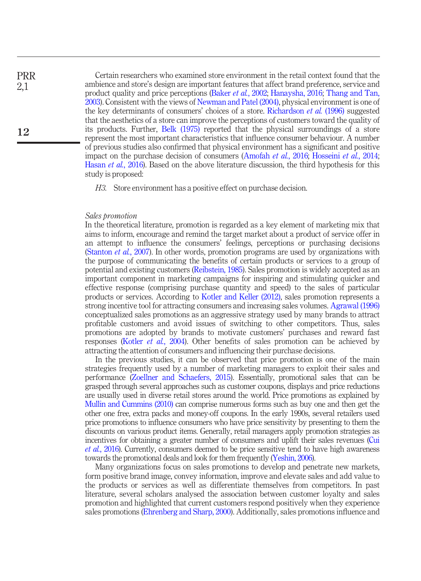Certain researchers who examined store environment in the retail context found that the ambience and store's design are important features that affect brand preference, service and product quality and price perceptions ([Baker](#page-11-10) et al., 2002; [Hanaysha, 2016;](#page-13-5) [Thang and Tan,](#page-15-3) [2003](#page-15-3)). Consistent with the views of [Newman and Patel \(2004\),](#page-14-12) physical environment is one of the key determinants of consumers' choices of a store. [Richardson](#page-14-11) et al. (1996) suggested that the aesthetics of a store can improve the perceptions of customers toward the quality of its products. Further, [Belk \(1975\)](#page-11-9) reported that the physical surroundings of a store represent the most important characteristics that influence consumer behaviour. A number of previous studies also confirmed that physical environment has a significant and positive impact on the purchase decision of consumers [\(Amofah](#page-11-11) et al., 2016; [Hosseini](#page-13-0) et al., 2014; [Hasan](#page-13-12) et al., 2016). Based on the above literature discussion, the third hypothesis for this study is proposed:

H3. Store environment has a positive effect on purchase decision.

#### Sales promotion

In the theoretical literature, promotion is regarded as a key element of marketing mix that aims to inform, encourage and remind the target market about a product of service offer in an attempt to influence the consumers' feelings, perceptions or purchasing decisions [\(Stanton](#page-15-4) et al., 2007). In other words, promotion programs are used by organizations with the purpose of communicating the benefits of certain products or services to a group of potential and existing customers [\(Reibstein, 1985](#page-14-13)). Sales promotion is widely accepted as an important component in marketing campaigns for inspiring and stimulating quicker and effective response (comprising purchase quantity and speed) to the sales of particular products or services. According to [Kotler and Keller \(2012\),](#page-13-13) sales promotion represents a strong incentive tool for attracting consumers and increasing sales volumes. [Agrawal \(1996\)](#page-10-1) conceptualized sales promotions as an aggressive strategy used by many brands to attract profitable customers and avoid issues of switching to other competitors. Thus, sales promotions are adopted by brands to motivate customers' purchases and reward fast responses (Kotler et al.[, 2004](#page-13-14)). Other benefits of sales promotion can be achieved by attracting the attention of consumers and influencing their purchase decisions.

In the previous studies, it can be observed that price promotion is one of the main strategies frequently used by a number of marketing managers to exploit their sales and performance ([Zoellner and Schaefers, 2015](#page-15-5)). Essentially, promotional sales that can be grasped through several approaches such as customer coupons, displays and price reductions are usually used in diverse retail stores around the world. Price promotions as explained by [Mullin and Cummins \(2010\)](#page-14-14) can comprise numerous forms such as buy one and then get the other one free, extra packs and money-off coupons. In the early 1990s, several retailers used price promotions to influence consumers who have price sensitivity by presenting to them the discounts on various product items. Generally, retail managers apply promotion strategies as incentives for obtaining a greater number of consumers and uplift their sales revenues ([Cui](#page-12-10) et al.[, 2016](#page-12-10)). Currently, consumers deemed to be price sensitive tend to have high awareness towards the promotional deals and look for them frequently ([Yeshin, 2006\)](#page-15-6).

Many organizations focus on sales promotions to develop and penetrate new markets, form positive brand image, convey information, improve and elevate sales and add value to the products or services as well as differentiate themselves from competitors. In past literature, several scholars analysed the association between customer loyalty and sales promotion and highlighted that current customers respond positively when they experience sales promotions ([Ehrenberg and Sharp, 2000](#page-12-11)). Additionally, sales promotions influence and

PRR 2,1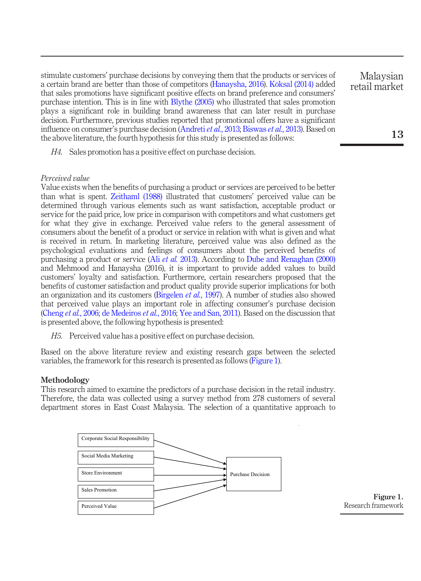stimulate customers' purchase decisions by conveying them that the products or services of a certain brand are better than those of competitors ([Hanaysha, 2016](#page-13-5)). [Köksal \(2014\)](#page-13-15) added that sales promotions have significant positive effects on brand preference and consumers' purchase intention. This is in line with [Blythe \(2005\)](#page-11-12) who illustrated that sales promotion plays a significant role in building brand awareness that can later result in purchase decision. Furthermore, previous studies reported that promotional offers have a significant influence on consumer's purchase decision [\(Andreti](#page-11-1) et al., 2013; [Biswas](#page-11-13) et al., 2013). Based on the above literature, the fourth hypothesis for this study is presented as follows:

H4. Sales promotion has a positive effect on purchase decision.

# Perceived value

Value exists when the benefits of purchasing a product or services are perceived to be better than what is spent. [Zeithaml \(1988\)](#page-15-7) illustrated that customers' perceived value can be determined through various elements such as want satisfaction, acceptable product or service for the paid price, low price in comparison with competitors and what customers get for what they give in exchange. Perceived value refers to the general assessment of consumers about the benefit of a product or service in relation with what is given and what is received in return. In marketing literature, perceived value was also defined as the psychological evaluations and feelings of consumers about the perceived benefits of purchasing a product or service (Ali [et al.](#page-11-8) 2013). According to [Dube and Renaghan \(2000\)](#page-12-12) and Mehmood and Hanaysha (2016), it is important to provide added values to build customers' loyalty and satisfaction. Furthermore, certain researchers proposed that the benefits of customer satisfaction and product quality provide superior implications for both an organization and its customers [\(Birgelen](#page-11-14) *et al.*, 1997). A number of studies also showed that perceived value plays an important role in affecting consumer's purchase decision [\(Cheng](#page-12-13) et al., 2006; [de Medeiros](#page-12-14) et al., 2016; [Yee and San, 2011](#page-15-8)). Based on the discussion that is presented above, the following hypothesis is presented:

H5. Perceived value has a positive effect on purchase decision.

Based on the above literature review and existing research gaps between the selected variables, the framework for this research is presented as follows ([Figure 1\)](#page-6-0).

# Methodology

This research aimed to examine the predictors of a purchase decision in the retail industry. Therefore, the data was collected using a survey method from 278 customers of several department stores in East Coast Malaysia. The selection of a quantitative approach to



<span id="page-6-0"></span>Figure 1. Research framework

13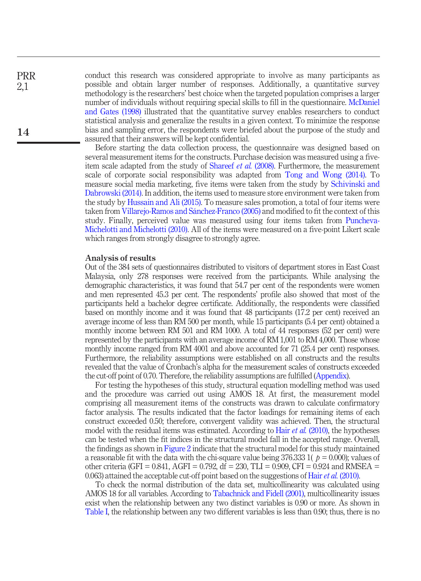conduct this research was considered appropriate to involve as many participants as possible and obtain larger number of responses. Additionally, a quantitative survey methodology is the researchers' best choice when the targeted population comprises a larger number of individuals without requiring special skills to fill in the questionnaire. [McDaniel](#page-13-16) [and Gates \(1998\)](#page-13-16) illustrated that the quantitative survey enables researchers to conduct statistical analysis and generalize the results in a given context. To minimize the response bias and sampling error, the respondents were briefed about the purpose of the study and assured that their answers will be kept confidential.

Before starting the data collection process, the questionnaire was designed based on several measurement items for the constructs. Purchase decision was measured using a five-item scale adapted from the study of [Shareef](#page-15-9) *et al.* (2008). Furthermore, the measurement scale of corporate social responsibility was adapted from [Tong and Wong \(2014\).](#page-15-10) To measure social media marketing, five items were taken from the study by [Schivinski and](#page-14-15) [Dabrowski \(2014\).](#page-14-15) In addition, the items used to measure store environment were taken from the study by [Hussain and Ali \(2015\)](#page-13-17). To measure sales promotion, a total of four items were taken from [Villarejo-Ramos and Sánchez-Franco \(2005\)](#page-15-11) and modified to fit the context of this study. Finally, perceived value was measured using four items taken from [Puncheva-](#page-14-16)[Michelotti and Michelotti \(2010\).](#page-14-16) All of the items were measured on a five-point Likert scale which ranges from strongly disagree to strongly agree.

#### Analysis of results

Out of the 384 sets of questionnaires distributed to visitors of department stores in East Coast Malaysia, only 278 responses were received from the participants. While analysing the demographic characteristics, it was found that 54.7 per cent of the respondents were women and men represented 45.3 per cent. The respondents' profile also showed that most of the participants held a bachelor degree certificate. Additionally, the respondents were classified based on monthly income and it was found that 48 participants (17.2 per cent) received an average income of less than RM 500 per month, while 15 participants (5.4 per cent) obtained a monthly income between RM 501 and RM 1000. A total of 44 responses (52 per cent) were represented by the participants with an average income of RM 1,001 to RM 4,000. Those whose monthly income ranged from RM 4001 and above accounted for 71 (25.4 per cent) responses. Furthermore, the reliability assumptions were established on all constructs and the results revealed that the value of Cronbach's alpha for the measurement scales of constructs exceeded the cut-off point of 0.70. Therefore, the reliability assumptions are fulfilled [\(Appendix](#page-16-0)).

For testing the hypotheses of this study, structural equation modelling method was used and the procedure was carried out using AMOS 18. At first, the measurement model comprising all measurement items of the constructs was drawn to calculate confirmatory factor analysis. The results indicated that the factor loadings for remaining items of each construct exceeded 0.50; therefore, convergent validity was achieved. Then, the structural model with the residual items was estimated. According to Hair *et al.* [\(2010\)](#page-13-18), the hypotheses can be tested when the fit indices in the structural model fall in the accepted range. Overall, the findings as shown in [Figure 2](#page-8-0) indicate that the structural model for this study maintained a reasonable fit with the data with the chi-square value being 376.333 1( $p = 0.000$ ); values of other criteria (GFI =  $0.841$ , AGFI =  $0.792$ , df =  $230$ , TLI =  $0.909$ , CFI =  $0.924$  and RMSEA = 0.063) attained the acceptable cut-off point based on the suggestions of Hair *et al.* [\(2010\).](#page-13-18)

To check the normal distribution of the data set, multicollinearity was calculated using AMOS 18 for all variables. According to [Tabachnick and Fidell \(2001\)](#page-15-12), multicollinearity issues exist when the relationship between any two distinct variables is 0.90 or more. As shown in [Table I](#page-8-1), the relationship between any two different variables is less than 0.90; thus, there is no

PRR 2,1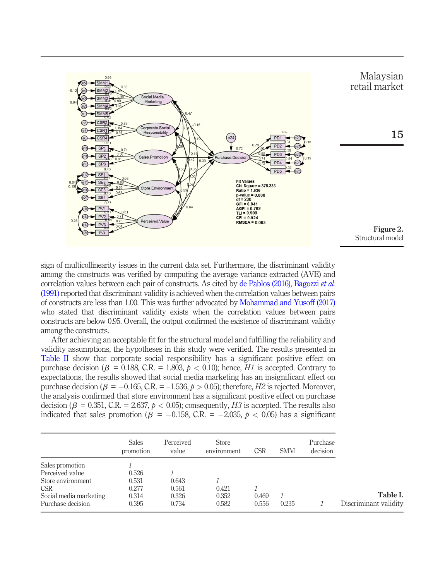

<span id="page-8-0"></span>sign of multicollinearity issues in the current data set. Furthermore, the discriminant validity among the constructs was verified by computing the average variance extracted (AVE) and correlation values between each pair of constructs. As cited by [de Pablos \(2016\)](#page-12-15), [Bagozzi](#page-11-15) et al. [\(1991\)](#page-11-15) reported that discriminant validity is achieved when the correlation values between pairs of constructs are less than 1.00. This was further advocated by [Mohammad and Yusoff \(2017\)](#page-14-17) who stated that discriminant validity exists when the correlation values between pairs constructs are below 0.95. Overall, the output confirmed the existence of discriminant validity among the constructs.

After achieving an acceptable fit for the structural model and fulfilling the reliability and validity assumptions, the hypotheses in this study were verified. The results presented in [Table II](#page-9-0) show that corporate social responsibility has a significant positive effect on purchase decision ( $\beta = 0.188$ , C.R. = 1.803,  $p < 0.10$ ); hence, *H1* is accepted. Contrary to expectations, the results showed that social media marketing has an insignificant effect on purchase decision ( $\beta = -0.165$ , C.R. = -1.536,  $\gamma > 0.05$ ); therefore, H2 is rejected. Moreover, the analysis confirmed that store environment has a significant positive effect on purchase decision ( $\beta = 0.351$ , C.R. = 2.637,  $p < 0.05$ ); consequently, H<sub>3</sub> is accepted. The results also indicated that sales promotion ( $\beta = -0.158$ , C.R. =  $-2.035$ ,  $\beta < 0.05$ ) has a significant

<span id="page-8-1"></span>

|                        | <b>Sales</b><br>promotion | Perceived<br>value | <b>Store</b><br>environment | CSR   | <b>SMM</b> | Purchase<br>decision |                       |
|------------------------|---------------------------|--------------------|-----------------------------|-------|------------|----------------------|-----------------------|
| Sales promotion        |                           |                    |                             |       |            |                      |                       |
| Perceived value        | 0.526                     |                    |                             |       |            |                      |                       |
| Store environment      | 0.531                     | 0.643              |                             |       |            |                      |                       |
| <b>CSR</b>             | 0.277                     | 0.561              | 0.421                       |       |            |                      |                       |
| Social media marketing | 0.314                     | 0.326              | 0.352                       | 0.469 |            |                      | Table I.              |
| Purchase decision      | 0.395                     | 0.734              | 0.582                       | 0.556 | 0.235      |                      | Discriminant validity |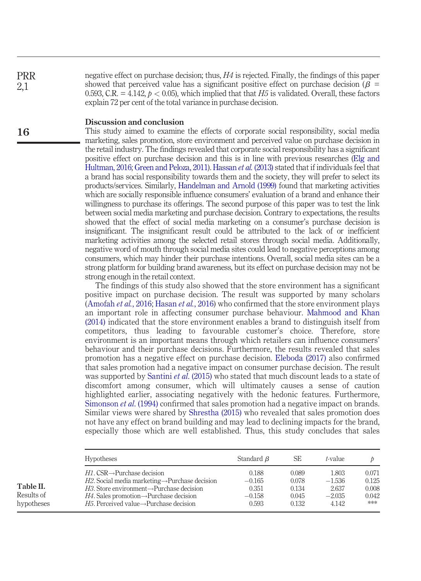negative effect on purchase decision; thus,  $H4$  is rejected. Finally, the findings of this paper showed that perceived value has a significant positive effect on purchase decision ( $\beta$  = 0.593, C.R. = 4.142,  $p < 0.05$ ), which implied that that H5 is validated. Overall, these factors explain 72 per cent of the total variance in purchase decision. PRR

## Discussion and conclusion

2,1

16

This study aimed to examine the effects of corporate social responsibility, social media marketing, sales promotion, store environment and perceived value on purchase decision in the retail industry. The findings revealed that corporate social responsibility has a significant positive effect on purchase decision and this is in line with previous researches [\(Elg and](#page-12-0) [Hultman, 2016](#page-12-0); [Green and Peloza, 2011\)](#page-12-16). [Hassan](#page-13-19) et al. (2013) stated that if individuals feel that a brand has social responsibility towards them and the society, they will prefer to select its products/services. Similarly, [Handelman and Arnold \(1999\)](#page-13-20) found that marketing activities which are socially responsible influence consumers' evaluation of a brand and enhance their willingness to purchase its offerings. The second purpose of this paper was to test the link between social media marketing and purchase decision. Contrary to expectations, the results showed that the effect of social media marketing on a consumer's purchase decision is insignificant. The insignificant result could be attributed to the lack of or inefficient marketing activities among the selected retail stores through social media. Additionally, negative word of mouth through social media sites could lead to negative perceptions among consumers, which may hinder their purchase intentions. Overall, social media sites can be a strong platform for building brand awareness, but its effect on purchase decision may not be strong enough in the retail context.

The findings of this study also showed that the store environment has a significant positive impact on purchase decision. The result was supported by many scholars [\(Amofah](#page-11-11) et al., 2016; [Hasan](#page-13-12) et al., 2016) who confirmed that the store environment plays an important role in affecting consumer purchase behaviour. [Mahmood and Khan](#page-14-10) [\(2014\)](#page-14-10) indicated that the store environment enables a brand to distinguish itself from competitors, thus leading to favourable customer's choice. Therefore, store environment is an important means through which retailers can influence consumers' behaviour and their purchase decisions. Furthermore, the results revealed that sales promotion has a negative effect on purchase decision. [Eleboda \(2017\)](#page-12-17) also confirmed that sales promotion had a negative impact on consumer purchase decision. The result was supported by [Santini](#page-14-18) *et al.* (2015) who stated that much discount leads to a state of discomfort among consumer, which will ultimately causes a sense of caution highlighted earlier, associating negatively with the hedonic features. Furthermore, [Simonson](#page-15-13) *et al.* (1994) confirmed that sales promotion had a negative impact on brands. Similar views were shared by [Shrestha \(2015\)](#page-15-14) who revealed that sales promotion does not have any effect on brand building and may lead to declining impacts for the brand, especially those which are well established. Thus, this study concludes that sales

<span id="page-9-0"></span>

|                                       | <b>Hypotheses</b>                                                                                                                                                                                                                                                                            | Standard $\beta$                                | SЕ                                        | $t$ -value                                      |                                         |
|---------------------------------------|----------------------------------------------------------------------------------------------------------------------------------------------------------------------------------------------------------------------------------------------------------------------------------------------|-------------------------------------------------|-------------------------------------------|-------------------------------------------------|-----------------------------------------|
| Table II.<br>Results of<br>hypotheses | $H1$ . CSR $\rightarrow$ Purchase decision<br>$H2$ . Social media marketing $\rightarrow$ Purchase decision<br>$H3$ . Store environment $\rightarrow$ Purchase decision<br>$H4$ . Sales promotion $\rightarrow$ Purchase decision<br>$H_5$ . Perceived value $\rightarrow$ Purchase decision | 0.188<br>$-0.165$<br>0.351<br>$-0.158$<br>0.593 | 0.089<br>0.078<br>0.134<br>0.045<br>0.132 | 1.803<br>$-1.536$<br>2.637<br>$-2.035$<br>4.142 | 0.071<br>0.125<br>0.008<br>0.042<br>*** |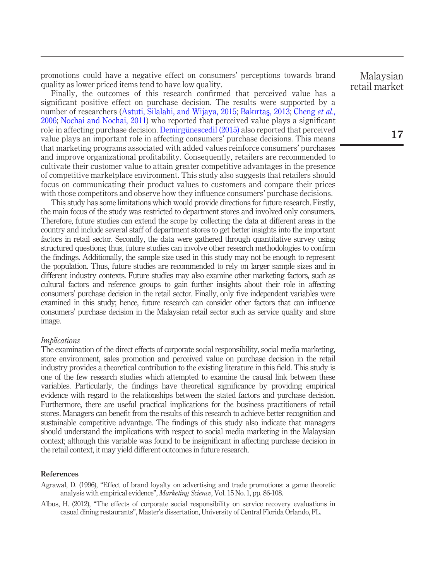promotions could have a negative effect on consumers' perceptions towards brand quality as lower priced items tend to have low quality.

Finally, the outcomes of this research confirmed that perceived value has a significant positive effect on purchase decision. The results were supported by a number of researchers ([Astuti, Silalahi, and Wijaya, 2015](#page-11-16); Bakırtas[, 2013;](#page-11-17) [Cheng](#page-12-13) et al., [2006;](#page-12-13) [Nochai and Nochai, 2011\)](#page-14-19) who reported that perceived value plays a significant role in affecting purchase decision. [Demirgünescedil \(2015\)](#page-12-18) also reported that perceived value plays an important role in affecting consumers' purchase decisions. This means that marketing programs associated with added values reinforce consumers' purchases and improve organizational profitability. Consequently, retailers are recommended to cultivate their customer value to attain greater competitive advantages in the presence of competitive marketplace environment. This study also suggests that retailers should focus on communicating their product values to customers and compare their prices with those competitors and observe how they influence consumers' purchase decisions.

This study has some limitations which would provide directions for future research. Firstly, the main focus of the study was restricted to department stores and involved only consumers. Therefore, future studies can extend the scope by collecting the data at different areas in the country and include several staff of department stores to get better insights into the important factors in retail sector. Secondly, the data were gathered through quantitative survey using structured questions; thus, future studies can involve other research methodologies to confirm the findings. Additionally, the sample size used in this study may not be enough to represent the population. Thus, future studies are recommended to rely on larger sample sizes and in different industry contexts. Future studies may also examine other marketing factors, such as cultural factors and reference groups to gain further insights about their role in affecting consumers' purchase decision in the retail sector. Finally, only five independent variables were examined in this study; hence, future research can consider other factors that can influence consumers' purchase decision in the Malaysian retail sector such as service quality and store image.

#### Implications

The examination of the direct effects of corporate social responsibility, social media marketing, store environment, sales promotion and perceived value on purchase decision in the retail industry provides a theoretical contribution to the existing literature in this field. This study is one of the few research studies which attempted to examine the causal link between these variables. Particularly, the findings have theoretical significance by providing empirical evidence with regard to the relationships between the stated factors and purchase decision. Furthermore, there are useful practical implications for the business practitioners of retail stores. Managers can benefit from the results of this research to achieve better recognition and sustainable competitive advantage. The findings of this study also indicate that managers should understand the implications with respect to social media marketing in the Malaysian context; although this variable was found to be insignificant in affecting purchase decision in the retail context, it may yield different outcomes in future research.

## References

- <span id="page-10-1"></span>Agrawal, D. (1996), "Effect of brand loyalty on advertising and trade promotions: a game theoretic analysis with empirical evidence", Marketing Science, Vol. 15 No. 1, pp. 86-108.
- <span id="page-10-0"></span>Albus, H. (2012), "The effects of corporate social responsibility on service recovery evaluations in casual dining restaurants", Master's dissertation, University of Central Florida Orlando, FL.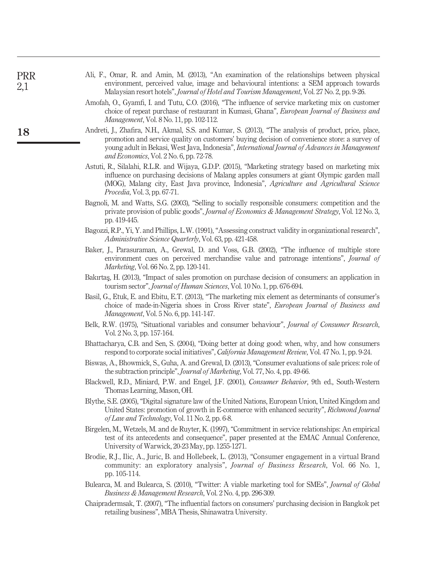<span id="page-11-17"></span><span id="page-11-16"></span><span id="page-11-15"></span><span id="page-11-14"></span><span id="page-11-13"></span><span id="page-11-12"></span><span id="page-11-11"></span><span id="page-11-10"></span><span id="page-11-9"></span><span id="page-11-8"></span><span id="page-11-7"></span><span id="page-11-6"></span><span id="page-11-5"></span><span id="page-11-4"></span><span id="page-11-3"></span><span id="page-11-2"></span><span id="page-11-1"></span><span id="page-11-0"></span>

| <b>PRR</b><br>2,1 | Ali, F., Omar, R. and Amin, M. (2013), "An examination of the relationships between physical<br>environment, perceived value, image and behavioural intentions: a SEM approach towards<br>Malaysian resort hotels", <i>Journal of Hotel and Tourism Management</i> , Vol. 27 No. 2, pp. 9-26.                                                      |
|-------------------|----------------------------------------------------------------------------------------------------------------------------------------------------------------------------------------------------------------------------------------------------------------------------------------------------------------------------------------------------|
|                   | Amofah, O., Gyamfi, I. and Tutu, C.O. (2016), "The influence of service marketing mix on customer<br>choice of repeat purchase of restaurant in Kumasi, Ghana", European Journal of Business and<br>Management, Vol. 8 No. 11, pp. 102-112.                                                                                                        |
| 18                | Andreti, J., Zhafira, N.H., Akmal, S.S. and Kumar, S. (2013), "The analysis of product, price, place,<br>promotion and service quality on customers' buying decision of convenience store: a survey of<br>young adult in Bekasi, West Java, Indonesia", International Journal of Advances in Management<br>and Economics, Vol. 2 No. 6, pp. 72-78. |
|                   | Astuti, R., Silalahi, R.L.R. and Wijaya, G.D.P. (2015), "Marketing strategy based on marketing mix<br>influence on purchasing decisions of Malang apples consumers at giant Olympic garden mall<br>(MOG), Malang city, East Java province, Indonesia", Agriculture and Agricultural Science<br><i>Procedia</i> , Vol. 3, pp. 67-71.                |
|                   | Bagnoli, M. and Watts, S.G. (2003), "Selling to socially responsible consumers: competition and the<br>private provision of public goods", Journal of Economics & Management Strategy, Vol. 12 No. 3,<br>pp. 419-445.                                                                                                                              |
|                   | Bagozzi, R.P., Yi, Y. and Phillips, L.W. (1991), "Assessing construct validity in organizational research",<br>Administrative Science Quarterly, Vol. 63, pp. 421-458.                                                                                                                                                                             |
|                   | Baker, J., Parasuraman, A., Grewal, D. and Voss, G.B. (2002), "The influence of multiple store<br>environment cues on perceived merchandise value and patronage intentions", Journal of<br><i>Marketing</i> , Vol. 66 No. 2, pp. 120-141.                                                                                                          |
|                   | Bakırtaş, H. (2013), "Impact of sales promotion on purchase decision of consumers: an application in<br>tourism sector", Journal of Human Sciences, Vol. 10 No. 1, pp. 676-694.                                                                                                                                                                    |
|                   | Basil, G., Etuk, E. and Ebitu, E.T. (2013), "The marketing mix element as determinants of consumer's<br>choice of made-in-Nigeria shoes in Cross River state", European Journal of Business and<br><i>Management, Vol.</i> 5 No. 6, pp. 141-147.                                                                                                   |
|                   | Belk, R.W. (1975), "Situational variables and consumer behaviour", Journal of Consumer Research,<br>Vol. 2 No. 3, pp. 157-164.                                                                                                                                                                                                                     |
|                   | Bhattacharya, C.B. and Sen, S. (2004), "Doing better at doing good: when, why, and how consumers<br>respond to corporate social initiatives", <i>California Management Review</i> , Vol. 47 No. 1, pp. 9-24.                                                                                                                                       |
|                   | Biswas, A., Bhowmick, S., Guha, A. and Grewal, D. (2013), "Consumer evaluations of sale prices: role of<br>the subtraction principle", <i>Journal of Marketing</i> , Vol. 77, No. 4, pp. 49-66.                                                                                                                                                    |
|                   | Blackwell, R.D., Miniard, P.W. and Engel, J.F. (2001), Consumer Behavior, 9th ed., South-Western<br>Thomas Learning, Mason, OH.                                                                                                                                                                                                                    |
|                   | Blythe, S.E. (2005), "Digital signature law of the United Nations, European Union, United Kingdom and<br>United States: promotion of growth in E-commerce with enhanced security", Richmond Journal<br>of Law and Technology, Vol. 11 No. 2, pp. 6-8.                                                                                              |
|                   | Birgelen, M., Wetzels, M. and de Ruyter, K. (1997), "Commitment in service relationships: An empirical<br>test of its antecedents and consequence", paper presented at the EMAC Annual Conference,<br>University of Warwick, 20-23 May, pp. 1255-1271.                                                                                             |
|                   | Brodie, R.J., Ilic, A., Juric, B. and Hollebeek, L. (2013), "Consumer engagement in a virtual Brand<br>community: an exploratory analysis", <i>Journal of Business Research</i> , Vol. 66 No. 1,<br>pp. 105-114.                                                                                                                                   |
|                   | Bulearca, M. and Bulearca, S. (2010), "Twitter: A viable marketing tool for SMEs", Journal of Global<br>Business & Management Research, Vol. 2 No. 4, pp. 296-309.                                                                                                                                                                                 |
|                   | Chaipradermsak, T. (2007), "The influential factors on consumers' purchasing decision in Bangkok pet<br>retailing business", MBA Thesis, Shinawatra University.                                                                                                                                                                                    |
|                   |                                                                                                                                                                                                                                                                                                                                                    |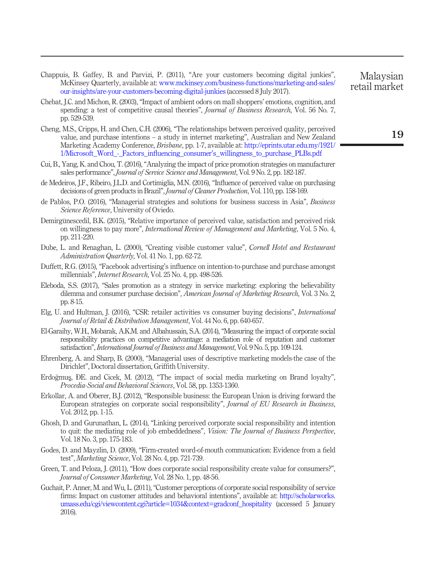- <span id="page-12-6"></span>Chappuis, B. Gaffey, B. and Parvizi, P. (2011), "Are your customers becoming digital junkies", McKinsey Quarterly, available at: [www.mckinsey.com/business-functions/marketing-and-sales/](http://www.mckinsey.com/business-functions/marketing-and-sales/our-insights/are-your-customers-becoming-digital-junkies) [our-insights/are-your-customers-becoming-digital-junkies](http://www.mckinsey.com/business-functions/marketing-and-sales/our-insights/are-your-customers-becoming-digital-junkies) (accessed 8 July 2017).
- <span id="page-12-9"></span>Chebat, J.C. and Michon, R. (2003), "Impact of ambient odors on mall shoppers' emotions, cognition, and spending: a test of competitive causal theories", Journal of Business Research, Vol. 56 No. 7, pp. 529-539.
- <span id="page-12-13"></span>Cheng, M.S., Cripps, H. and Chen, C.H. (2006), "The relationships between perceived quality, perceived value, and purchase intentions – a study in internet marketing", Australian and New Zealand Marketing Academy Conference, Brisbane, pp. 1-7, available at: [http://eprints.utar.edu.my/1921/](http://eprints.utar.edu.my/1921/1/Microsoft_Word_-_Factors_influencing_consumers_willingness_to_purchase_PLBs.pdf) 1/Microsoft\_Word\_-\_Factors\_influencing\_consumer'[s\\_willingness\\_to\\_purchase\\_PLBs.pdf](http://eprints.utar.edu.my/1921/1/Microsoft_Word_-_Factors_influencing_consumers_willingness_to_purchase_PLBs.pdf)
- <span id="page-12-10"></span>Cui, B., Yang, K. and Chou, T. (2016),"Analyzing the impact of price promotion strategies on manufacturer sales performance", Journal of Service Science and Management, Vol. 9 No. 2, pp. 182-187.
- <span id="page-12-14"></span>de Medeiros, J.F., Ribeiro, J.L.D. and Cortimiglia, M.N. (2016), "Influence of perceived value on purchasing decisions of green products in Brazil", Journal of Cleaner Production, Vol. 110, pp. 158-169.
- <span id="page-12-15"></span>de Pablos, P.O. (2016), "Managerial strategies and solutions for business success in Asia", *Business* Science Reference, University of Oviedo.
- <span id="page-12-18"></span>Demirgünescedil, B.K. (2015), "Relative importance of perceived value, satisfaction and perceived risk on willingness to pay more", International Review of Management and Marketing, Vol. 5 No. 4, pp. 211-220.
- <span id="page-12-12"></span>Dube, L. and Renaghan, L. (2000), "Creating visible customer value". Cornell Hotel and Restaurant Administration Quarterly, Vol. 41 No. 1, pp. 62-72.
- <span id="page-12-1"></span>Duffett, R.G. (2015), "Facebook advertising's influence on intention-to-purchase and purchase amongst millennials", Internet Research, Vol. 25 No. 4, pp. 498-526.
- <span id="page-12-17"></span>Eleboda, S.S. (2017), "Sales promotion as a strategy in service marketing: exploring the believability dilemma and consumer purchase decision", American Journal of Marketing Research, Vol. 3 No. 2, pp. 8-15.
- <span id="page-12-0"></span>Elg, U. and Hultman, J. (2016), "CSR: retailer activities vs consumer buying decisions", International Journal of Retail & Distribution Management, Vol. 44 No. 6, pp. 640-657.
- <span id="page-12-3"></span>El-Garaihy, W.H., Mobarak, A.K.M. and Albahussain, S.A. (2014), "Measuring the impact of corporate social responsibility practices on competitive advantage: a mediation role of reputation and customer satisfaction", International Journal of Business and Management, Vol. 9 No. 5, pp. 109-124.
- <span id="page-12-11"></span>Ehrenberg, A. and Sharp, B. (2000), "Managerial uses of descriptive marketing models-the case of the Dirichlet", Doctoral dissertation, Griffith University.
- <span id="page-12-7"></span>Erdoğmus, DE. and Cicek, M. (2012), "The impact of social media marketing on Brand loyalty", Procedia-Social and Behavioral Sciences, Vol. 58, pp. 1353-1360.
- <span id="page-12-2"></span>Erkollar, A. and Oberer, B.J. (2012), "Responsible business: the European Union is driving forward the European strategies on corporate social responsibility", Journal of EU Research in Business, Vol. 2012, pp. 1-15.
- <span id="page-12-4"></span>Ghosh, D. and Gurunathan, L. (2014), "Linking perceived corporate social responsibility and intention to quit: the mediating role of job embeddedness", Vision: The Journal of Business Perspective, Vol. 18 No. 3, pp. 175-183.
- <span id="page-12-8"></span>Godes, D. and Mayzlin, D. (2009), "Firm-created word-of-mouth communication: Evidence from a field test", Marketing Science, Vol. 28 No. 4, pp. 721-739.
- <span id="page-12-16"></span>Green, T. and Peloza, J. (2011), "How does corporate social responsibility create value for consumers?", Journal of Consumer Marketing, Vol. 28 No. 1, pp. 48-56.
- <span id="page-12-5"></span>Guchait, P. Anner, M. and Wu, L. (2011),"Customer perceptions of corporate social responsibility of service firms: Impact on customer attitudes and behavioral intentions", available at: [http://scholarworks.](http://scholarworks.umass.edu/cgi/viewcontent.cgi?article=1034&context=gradcon) [umass.edu/cgi/viewcontent.cgi?article=1034&context=gradconf\\_hospitality](http://scholarworks.umass.edu/cgi/viewcontent.cgi?article=1034&context=gradcon) (accessed 5 January 2016).

Malaysian retail market

19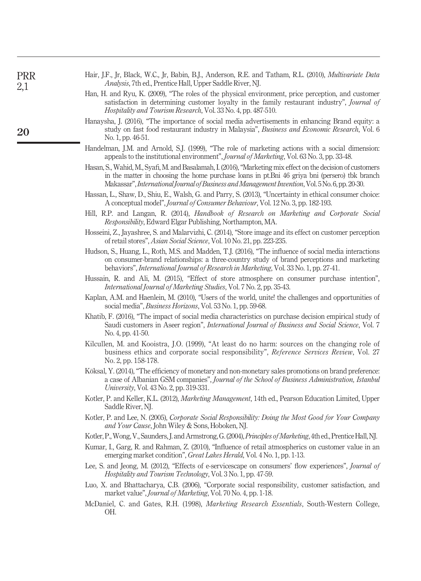<span id="page-13-20"></span><span id="page-13-19"></span><span id="page-13-18"></span><span id="page-13-17"></span><span id="page-13-16"></span><span id="page-13-15"></span><span id="page-13-14"></span><span id="page-13-13"></span><span id="page-13-12"></span><span id="page-13-11"></span><span id="page-13-10"></span><span id="page-13-9"></span><span id="page-13-8"></span><span id="page-13-7"></span><span id="page-13-6"></span><span id="page-13-5"></span><span id="page-13-4"></span><span id="page-13-3"></span><span id="page-13-2"></span><span id="page-13-1"></span><span id="page-13-0"></span>

| <b>PRR</b><br>2,1 | Hair, J.F., Jr., Black, W.C., Jr., Babin, B.J., Anderson, R.E. and Tatham, R.L. (2010), <i>Multivariate Data</i><br>Analysis, 7th ed., Prentice Hall, Upper Saddle River, NJ.                                                                                                                                     |
|-------------------|-------------------------------------------------------------------------------------------------------------------------------------------------------------------------------------------------------------------------------------------------------------------------------------------------------------------|
|                   | Han, H. and Ryu, K. (2009), "The roles of the physical environment, price perception, and customer<br>satisfaction in determining customer loyalty in the family restaurant industry", Journal of<br>Hospitality and Tourism Research, Vol. 33 No. 4, pp. 487-510.                                                |
| 20                | Hanaysha, J. (2016), "The importance of social media advertisements in enhancing Brand equity: a<br>study on fast food restaurant industry in Malaysia", <i>Business and Economic Research</i> , Vol. 6<br>No. 1, pp. 46-51.                                                                                      |
|                   | Handelman, J.M. and Arnold, S.J. (1999), "The role of marketing actions with a social dimension:<br>appeals to the institutional environment", <i>Journal of Marketing</i> , Vol. 63 No. 3, pp. 33-48.                                                                                                            |
|                   | Hasan, S., Wahid, M., Syafi, M. and Basalamah, I. (2016), "Marketing mix effect on the decision of customers<br>in the matter in choosing the home purchase loans in pt. Bni 46 griya bni (persero) tbk branch<br>Makassar", International Journal of Business and Management Invention, Vol. 5 No. 6, pp. 20-30. |
|                   | Hassan, L., Shaw, D., Shiu, E., Walsh, G. and Parry, S. (2013), "Uncertainty in ethical consumer choice:<br>A conceptual model", <i>Journal of Consumer Behaviour</i> , Vol. 12 No. 3, pp. 182-193.                                                                                                               |
|                   | Hill, R.P. and Langan, R. (2014), <i>Handbook of Research on Marketing and Corporate Social</i><br>Responsibility, Edward Elgar Publishing, Northampton, MA.                                                                                                                                                      |
|                   | Hosseini, Z., Jayashree, S. and Malarvizhi, C. (2014), "Store image and its effect on customer perception<br>of retail stores", Asian Social Science, Vol. 10 No. 21, pp. 223-235.                                                                                                                                |
|                   | Hudson, S., Huang, L., Roth, M.S. and Madden, T.J. (2016), "The influence of social media interactions<br>on consumer-brand relationships: a three-country study of brand perceptions and marketing<br>behaviors", International Journal of Research in Marketing, Vol. 33 No. 1, pp. 27-41.                      |
|                   | Hussain, R. and Ali, M. (2015), "Effect of store atmosphere on consumer purchase intention",<br>International Journal of Marketing Studies, Vol. 7 No. 2, pp. 35-43.                                                                                                                                              |
|                   | Kaplan, A.M. and Haenlein, M. (2010), "Users of the world, unite! the challenges and opportunities of<br>social media", <i>Business Horizons</i> , Vol. 53 No. 1, pp. 59-68.                                                                                                                                      |
|                   | Khatib, F. (2016), "The impact of social media characteristics on purchase decision empirical study of<br>Saudi customers in Aseer region", <i>International Journal of Business and Social Science</i> , Vol. 7<br>No. 4, pp. 41-50.                                                                             |
|                   | Kilcullen, M. and Kooistra, J.O. (1999), "At least do no harm: sources on the changing role of<br>business ethics and corporate social responsibility", Reference Services Review, Vol. 27<br>No. 2, pp. 158-178.                                                                                                 |
|                   | Köksal, Y. (2014), "The efficiency of monetary and non-monetary sales promotions on brand preference:<br>a case of Albanian GSM companies", Journal of the School of Business Administration, Istanbul<br><i>University</i> , Vol. 43 No. 2, pp. 319-331.                                                         |
|                   | Kotler, P. and Keller, K.L. (2012), Marketing Management, 14th ed., Pearson Education Limited, Upper<br>Saddle River, NJ.                                                                                                                                                                                         |
|                   | Kotler, P. and Lee, N. (2005), Corporate Social Responsibility: Doing the Most Good for Your Company<br>and Your Cause, John Wiley & Sons, Hoboken, NJ.                                                                                                                                                           |
|                   | Kotler, P., Wong, V., Saunders, J. and Armstrong, G. (2004), Principles of Marketing, 4th ed., Prentice Hall, NJ.                                                                                                                                                                                                 |
|                   | Kumar, I., Garg, R. and Rahman, Z. (2010), "Influence of retail atmospherics on customer value in an<br>emerging market condition", Great Lakes Herald, Vol. 4 No. 1, pp. 1-13.                                                                                                                                   |
|                   | Lee, S. and Jeong, M. (2012), "Effects of e-servicescape on consumers' flow experiences", <i>Journal of</i><br>Hospitality and Tourism Technology, Vol. 3 No. 1, pp. 47-59.                                                                                                                                       |
|                   | Luo, X. and Bhattacharya, C.B. (2006), "Corporate social responsibility, customer satisfaction, and<br>market value", <i>Journal of Marketing</i> , Vol. 70 No. 4, pp. 1-18.                                                                                                                                      |
|                   | McDaniel, C. and Gates, R.H. (1998), Marketing Research Essentials, South-Western College,<br>OH.                                                                                                                                                                                                                 |
|                   |                                                                                                                                                                                                                                                                                                                   |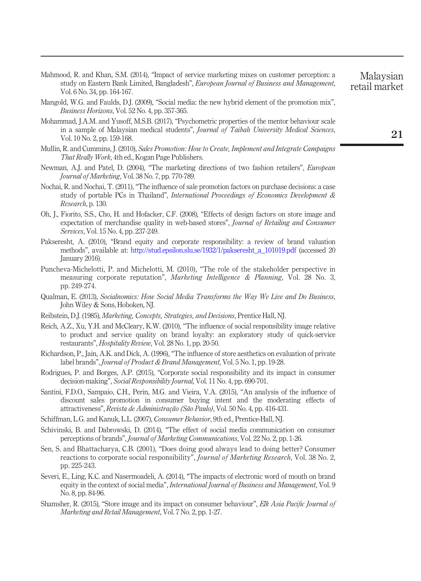- <span id="page-14-10"></span>Mahmood, R. and Khan, S.M. (2014), "Impact of service marketing mixes on customer perception: a study on Eastern Bank Limited, Bangladesh", European Journal of Business and Management, Vol. 6 No. 34, pp. 164-167.
- <span id="page-14-8"></span>Mangold, W.G. and Faulds, D.J. (2009), "Social media: the new hybrid element of the promotion mix", Business Horizons, Vol. 52 No. 4, pp. 357-365.
- <span id="page-14-17"></span>Mohammad, J.A.M. and Yusoff, M.S.B. (2017), "Psychometric properties of the mentor behaviour scale in a sample of Malaysian medical students", Journal of Taibah University Medical Sciences, Vol. 10 No. 2, pp. 159-168.
- <span id="page-14-14"></span>Mullin, R. and Cummins, J. (2010), Sales Promotion: How to Create, Implement and Integrate Campaigns That Really Work, 4th ed., Kogan Page Publishers.
- <span id="page-14-12"></span>Newman, A.J. and Patel, D. (2004), "The marketing directions of two fashion retailers", *European* Journal of Marketing, Vol. 38 No. 7, pp. 770-789.
- <span id="page-14-19"></span>Nochai, R. and Nochai, T. (2011), "The influence of sale promotion factors on purchase decisions: a case study of portable PCs in Thailand", International Proceedings of Economics Development & Research, p. 130.
- <span id="page-14-9"></span>Oh, J., Fiorito, S.S., Cho, H. and Hofacker, C.F. (2008), "Effects of design factors on store image and expectation of merchandise quality in web-based stores", Journal of Retailing and Consumer Services, Vol. 15 No. 4, pp. 237-249.
- <span id="page-14-3"></span>Pakseresht, A. (2010), "Brand equity and corporate responsibility: a review of brand valuation methods", available at: [http://stud.epsilon.slu.se/1932/1/pakseresht\\_a\\_101019.pdf](http://stud.epsilon.slu.se/1932/1/pakseresht_a_101019.pdf) (accessed 20 January 2016).
- <span id="page-14-16"></span>Puncheva-Michelotti, P. and Michelotti, M. (2010), "The role of the stakeholder perspective in measuring corporate reputation", *Marketing Intelligence & Planning*, Vol. 28 No. 3, pp. 249-274.
- <span id="page-14-7"></span>Qualman, E. (2013), Socialnomics: How Social Media Transforms the Way We Live and Do Business, John Wiley & Sons, Hoboken, NJ.
- <span id="page-14-13"></span>Reibstein, D.J. (1985), *Marketing, Concepts, Strategies, and Decisions*, Prentice Hall, NJ.
- <span id="page-14-2"></span>Reich, A.Z., Xu, Y.H. and McCleary, K.W. (2010), "The influence of social responsibility image relative to product and service quality on brand loyalty: an exploratory study of quick-service restaurants", Hospitality Review, Vol. 28 No. 1, pp. 20-50.
- <span id="page-14-11"></span>Richardson, P., Jain, A.K. and Dick, A. (1996), "The influence of store aesthetics on evaluation of private label brands", Journal of Product & Brand Management, Vol. 5 No. 1, pp. 19-28.
- <span id="page-14-5"></span>Rodrigues, P. and Borges, A.P. (2015), "Corporate social responsibility and its impact in consumer decision-making", Social Responsibility Journal, Vol. 11 No. 4, pp. 690-701.
- <span id="page-14-18"></span>Santini, F.D.O., Sampaio, C.H., Perin, M.G. and Vieira, V.A. (2015), "An analysis of the influence of discount sales promotion in consumer buying intent and the moderating effects of attractiveness", Revista de Administração (São Paulo), Vol. 50 No. 4, pp. 416-431.
- <span id="page-14-1"></span>Schiffman, L.G. and Kanuk, L.L. (2007), *Consumer Behavior*, 9th ed., Prentice-Hall, NJ.
- <span id="page-14-15"></span>Schivinski, B. and Dabrowski, D. (2014), "The effect of social media communication on consumer perceptions of brands", Journal of Marketing Communications, Vol. 22 No. 2, pp. 1-26.
- <span id="page-14-4"></span>Sen, S. and Bhattacharya, C.B. (2001), "Does doing good always lead to doing better? Consumer reactions to corporate social responsibility", Journal of Marketing Research, Vol. 38 No. 2, pp. 225-243.
- <span id="page-14-6"></span>Severi, E., Ling, K.C. and Nasermoadeli, A. (2014), "The impacts of electronic word of mouth on brand equity in the context of social media", *International Journal of Business and Management*, Vol. 9 No. 8, pp. 84-96.
- <span id="page-14-0"></span>Shamsher, R. (2015), "Store image and its impact on consumer behaviour", Elk Asia Pacific Journal of Marketing and Retail Management, Vol. 7 No. 2, pp. 1-27.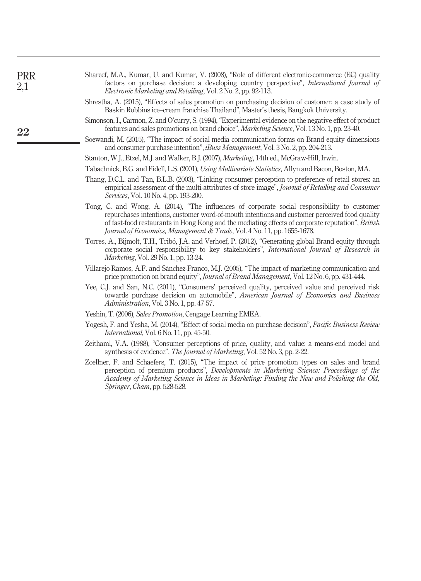<span id="page-15-14"></span><span id="page-15-13"></span><span id="page-15-12"></span><span id="page-15-9"></span><span id="page-15-4"></span><span id="page-15-3"></span><span id="page-15-1"></span>

| <b>PRR</b><br>2,1 | Shareef, M.A., Kumar, U. and Kumar, V. (2008), "Role of different electronic-commerce (EC) quality<br>factors on purchase decision: a developing country perspective", <i>International Journal of</i><br><i>Electronic Marketing and Retailing</i> , Vol. 2 No. 2, pp. 92-113.                                                                                                                 |
|-------------------|-------------------------------------------------------------------------------------------------------------------------------------------------------------------------------------------------------------------------------------------------------------------------------------------------------------------------------------------------------------------------------------------------|
|                   | Shrestha, A. (2015), "Effects of sales promotion on purchasing decision of customer: a case study of<br>Baskin Robbins ice–cream franchise Thailand", Master's thesis, Bangkok University.                                                                                                                                                                                                      |
| 22                | Simonson, I., Carmon, Z. and O'curry, S. (1994), "Experimental evidence on the negative effect of product<br>features and sales promotions on brand choice", <i>Marketing Science</i> , Vol. 13 No. 1, pp. 23-40.                                                                                                                                                                               |
|                   | Soewandi, M. (2015), "The impact of social media communication forms on Brand equity dimensions<br>and consumer purchase intention", <i>iBuss Management</i> , Vol. 3 No. 2, pp. 204-213.                                                                                                                                                                                                       |
|                   | Stanton, W.J., Etzel, M.J. and Walker, B.J. (2007), <i>Marketing</i> , 14th ed., McGraw-Hill, Irwin.                                                                                                                                                                                                                                                                                            |
|                   | Tabachnick, B.G. and Fidell, L.S. (2001), Using Multivariate Statistics, Allyn and Bacon, Boston, MA.                                                                                                                                                                                                                                                                                           |
|                   | Thang, D.C.L. and Tan, B.L.B. (2003), "Linking consumer perception to preference of retail stores: an<br>empirical assessment of the multi-attributes of store image", <i>Journal of Retailing and Consumer</i><br>Services, Vol. 10 No. 4, pp. 193-200.                                                                                                                                        |
|                   | Tong, C. and Wong, A. (2014), "The influences of corporate social responsibility to customer<br>repurchases intentions, customer word-of-mouth intentions and customer perceived food quality<br>of fast-food restaurants in Hong Kong and the mediating effects of corporate reputation", <i>British</i><br><i>Journal of Economics, Management &amp; Trade, Vol. 4 No. 11, pp. 1655-1678.</i> |
|                   | Torres, A., Bijmolt, T.H., Tribó, J.A. and Verhoef, P. (2012), "Generating global Brand equity through<br>corporate social responsibility to key stakeholders", <i>International Journal of Research in</i><br><i>Marketing</i> , Vol. 29 No. 1, pp. 13-24.                                                                                                                                     |
|                   | Villarejo-Ramos, A.F. and Sánchez-Franco, M.J. (2005), "The impact of marketing communication and<br>price promotion on brand equity", <i>Journal of Brand Management</i> , Vol. 12 No. 6, pp. 431-444.                                                                                                                                                                                         |
|                   | Yee, C.J. and San, N.C. (2011), "Consumers' perceived quality, perceived value and perceived risk<br>towards purchase decision on automobile", American Journal of Economics and Business<br><i>Administration, Vol. 3 No. 1, pp. 47-57.</i>                                                                                                                                                    |
|                   | Yeshin, T. (2006), Sales Promotion, Cengage Learning EMEA.                                                                                                                                                                                                                                                                                                                                      |
|                   | Yogesh, F. and Yesha, M. (2014), "Effect of social media on purchase decision", <i>Pacific Business Review</i><br>International, Vol. 6 No. 11, pp. 45-50.                                                                                                                                                                                                                                      |
|                   | Zeithaml, V.A. (1988), "Consumer perceptions of price, quality, and value: a means-end model and                                                                                                                                                                                                                                                                                                |

<span id="page-15-7"></span><span id="page-15-5"></span>Zoellner, F. and Schaefers, T. (2015), "The impact of price promotion types on sales and brand perception of premium products", *Developments in Marketing Science: Proceedings of the* Academy of Marketing Science in Ideas in Marketing: Finding the New and Polishing the Old, Springer, Cham, pp. 528-528.

<span id="page-15-11"></span><span id="page-15-10"></span><span id="page-15-8"></span><span id="page-15-6"></span><span id="page-15-2"></span><span id="page-15-0"></span>synthesis of evidence", *The Journal of Marketing*, Vol. 52 No. 3, pp. 2-22.